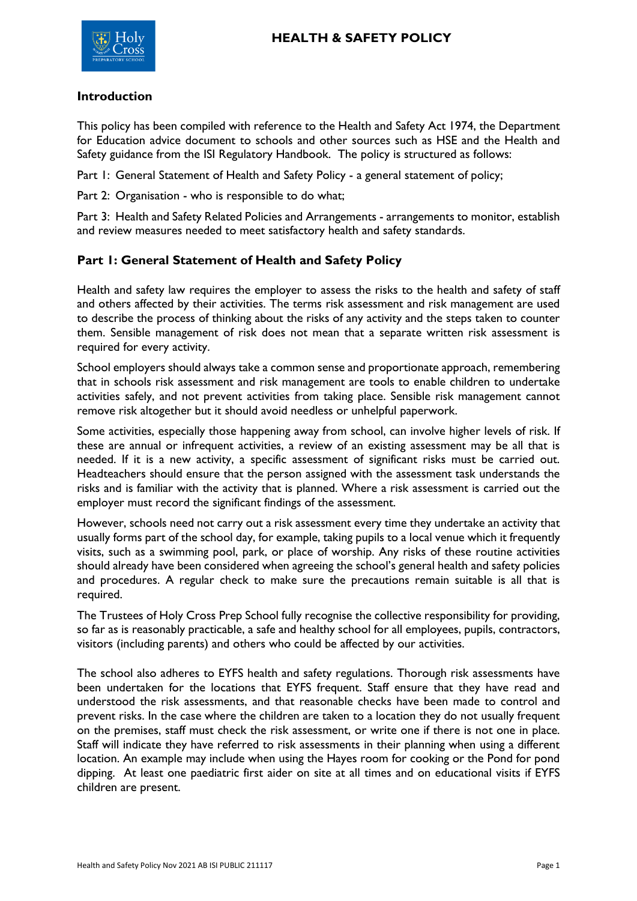

#### **Introduction**

This policy has been compiled with reference to the Health and Safety Act 1974, the Department for Education advice document to schools and other sources such as HSE and the Health and Safety guidance from the ISI Regulatory Handbook. The policy is structured as follows:

Part 1: General Statement of Health and Safety Policy - a general statement of policy;

Part 2: Organisation - who is responsible to do what;

Part 3: Health and Safety Related Policies and Arrangements - arrangements to monitor, establish and review measures needed to meet satisfactory health and safety standards.

## **Part 1: General Statement of Health and Safety Policy**

Health and safety law requires the employer to assess the risks to the health and safety of staff and others affected by their activities. The terms risk assessment and risk management are used to describe the process of thinking about the risks of any activity and the steps taken to counter them. Sensible management of risk does not mean that a separate written risk assessment is required for every activity.

School employers should always take a common sense and proportionate approach, remembering that in schools risk assessment and risk management are tools to enable children to undertake activities safely, and not prevent activities from taking place. Sensible risk management cannot remove risk altogether but it should avoid needless or unhelpful paperwork.

Some activities, especially those happening away from school, can involve higher levels of risk. If these are annual or infrequent activities, a review of an existing assessment may be all that is needed. If it is a new activity, a specific assessment of significant risks must be carried out. Headteachers should ensure that the person assigned with the assessment task understands the risks and is familiar with the activity that is planned. Where a risk assessment is carried out the employer must record the significant findings of the assessment.

However, schools need not carry out a risk assessment every time they undertake an activity that usually forms part of the school day, for example, taking pupils to a local venue which it frequently visits, such as a swimming pool, park, or place of worship. Any risks of these routine activities should already have been considered when agreeing the school's general health and safety policies and procedures. A regular check to make sure the precautions remain suitable is all that is required.

The Trustees of Holy Cross Prep School fully recognise the collective responsibility for providing, so far as is reasonably practicable, a safe and healthy school for all employees, pupils, contractors, visitors (including parents) and others who could be affected by our activities.

The school also adheres to EYFS health and safety regulations. Thorough risk assessments have been undertaken for the locations that EYFS frequent. Staff ensure that they have read and understood the risk assessments, and that reasonable checks have been made to control and prevent risks. In the case where the children are taken to a location they do not usually frequent on the premises, staff must check the risk assessment, or write one if there is not one in place. Staff will indicate they have referred to risk assessments in their planning when using a different location. An example may include when using the Hayes room for cooking or the Pond for pond dipping. At least one paediatric first aider on site at all times and on educational visits if EYFS children are present.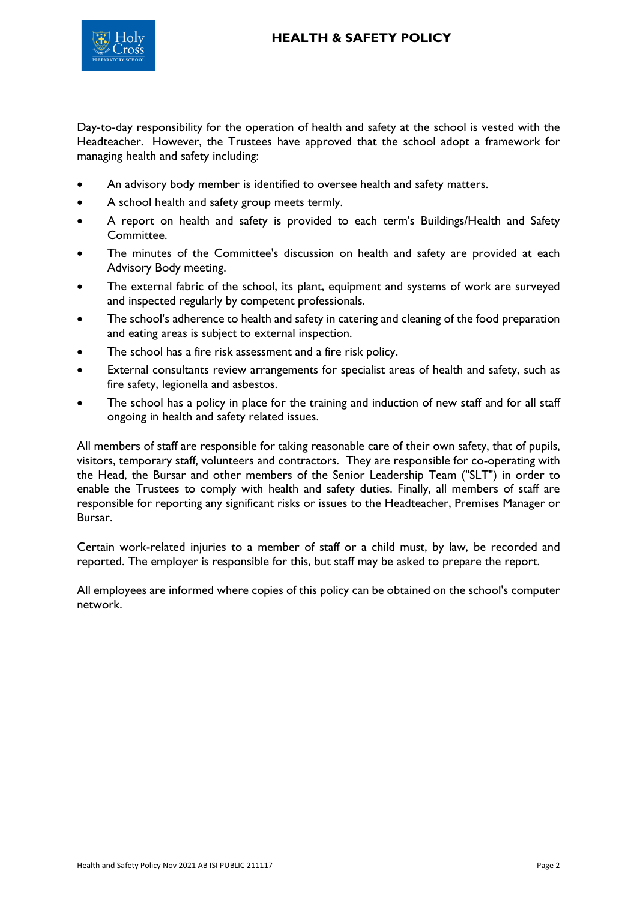

Day-to-day responsibility for the operation of health and safety at the school is vested with the Headteacher. However, the Trustees have approved that the school adopt a framework for managing health and safety including:

- An advisory body member is identified to oversee health and safety matters.
- A school health and safety group meets termly.
- A report on health and safety is provided to each term's Buildings/Health and Safety Committee.
- The minutes of the Committee's discussion on health and safety are provided at each Advisory Body meeting.
- The external fabric of the school, its plant, equipment and systems of work are surveyed and inspected regularly by competent professionals.
- The school's adherence to health and safety in catering and cleaning of the food preparation and eating areas is subject to external inspection.
- The school has a fire risk assessment and a fire risk policy.
- External consultants review arrangements for specialist areas of health and safety, such as fire safety, legionella and asbestos.
- The school has a policy in place for the training and induction of new staff and for all staff ongoing in health and safety related issues.

All members of staff are responsible for taking reasonable care of their own safety, that of pupils, visitors, temporary staff, volunteers and contractors. They are responsible for co-operating with the Head, the Bursar and other members of the Senior Leadership Team ("SLT") in order to enable the Trustees to comply with health and safety duties. Finally, all members of staff are responsible for reporting any significant risks or issues to the Headteacher, Premises Manager or Bursar.

Certain work-related injuries to a member of staff or a child must, by law, be recorded and reported. The employer is responsible for this, but staff may be asked to prepare the report.

All employees are informed where copies of this policy can be obtained on the school's computer network.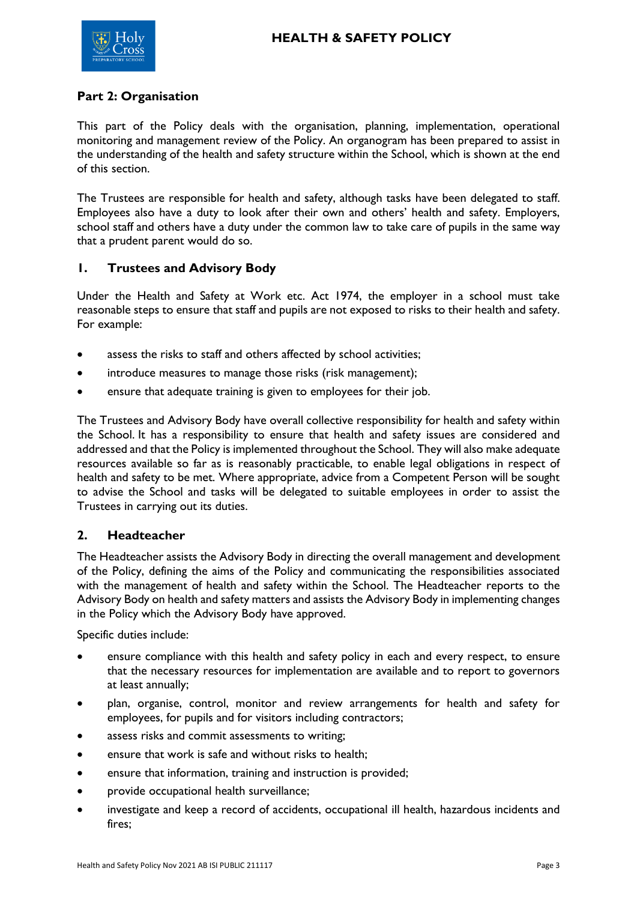

## **Part 2: Organisation**

This part of the Policy deals with the organisation, planning, implementation, operational monitoring and management review of the Policy. An organogram has been prepared to assist in the understanding of the health and safety structure within the School, which is shown at the end of this section.

The Trustees are responsible for health and safety, although tasks have been delegated to staff. Employees also have a duty to look after their own and others' health and safety. Employers, school staff and others have a duty under the common law to take care of pupils in the same way that a prudent parent would do so.

## **1. Trustees and Advisory Body**

Under the Health and Safety at Work etc. Act 1974, the employer in a school must take reasonable steps to ensure that staff and pupils are not exposed to risks to their health and safety. For example:

- assess the risks to staff and others affected by school activities;
- introduce measures to manage those risks (risk management);
- ensure that adequate training is given to employees for their job.

The Trustees and Advisory Body have overall collective responsibility for health and safety within the School. It has a responsibility to ensure that health and safety issues are considered and addressed and that the Policy is implemented throughout the School. They will also make adequate resources available so far as is reasonably practicable, to enable legal obligations in respect of health and safety to be met. Where appropriate, advice from a Competent Person will be sought to advise the School and tasks will be delegated to suitable employees in order to assist the Trustees in carrying out its duties.

## **2. Headteacher**

The Headteacher assists the Advisory Body in directing the overall management and development of the Policy, defining the aims of the Policy and communicating the responsibilities associated with the management of health and safety within the School. The Headteacher reports to the Advisory Body on health and safety matters and assists the Advisory Body in implementing changes in the Policy which the Advisory Body have approved.

Specific duties include:

- ensure compliance with this health and safety policy in each and every respect, to ensure that the necessary resources for implementation are available and to report to governors at least annually;
- plan, organise, control, monitor and review arrangements for health and safety for employees, for pupils and for visitors including contractors;
- assess risks and commit assessments to writing:
- ensure that work is safe and without risks to health;
- ensure that information, training and instruction is provided;
- provide occupational health surveillance;
- investigate and keep a record of accidents, occupational ill health, hazardous incidents and fires;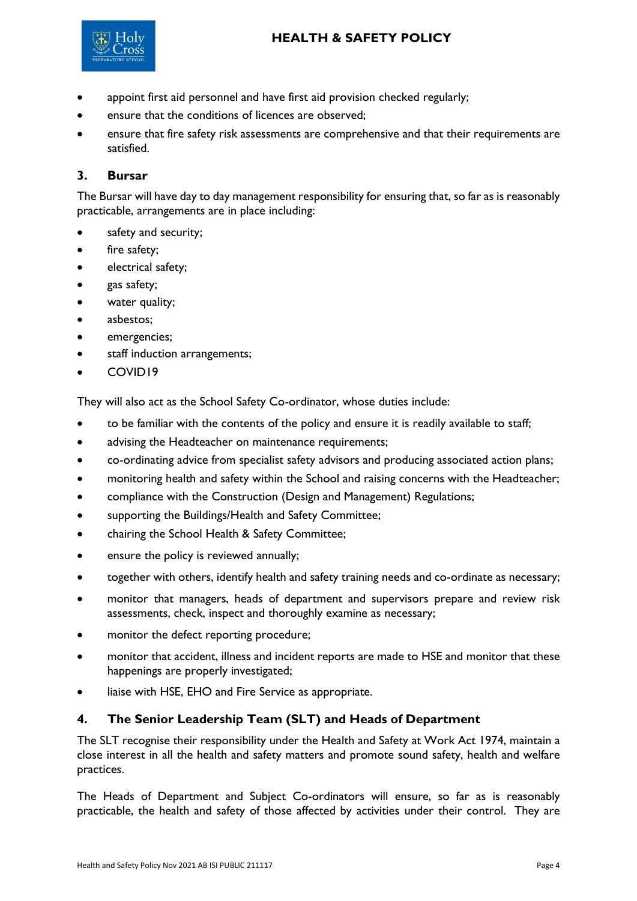

- appoint first aid personnel and have first aid provision checked regularly;
- ensure that the conditions of licences are observed;
- ensure that fire safety risk assessments are comprehensive and that their requirements are satisfied.

## **3. Bursar**

The Bursar will have day to day management responsibility for ensuring that, so far as is reasonably practicable, arrangements are in place including:

- safety and security;
- fire safety;
- electrical safety;
- gas safety;
- water quality;
- asbestos;
- emergencies;
- staff induction arrangements;
- COVID19

They will also act as the School Safety Co-ordinator, whose duties include:

- to be familiar with the contents of the policy and ensure it is readily available to staff;
- advising the Headteacher on maintenance requirements;
- co-ordinating advice from specialist safety advisors and producing associated action plans;
- monitoring health and safety within the School and raising concerns with the Headteacher;
- compliance with the Construction (Design and Management) Regulations;
- supporting the Buildings/Health and Safety Committee;
- chairing the School Health & Safety Committee:
- ensure the policy is reviewed annually;
- together with others, identify health and safety training needs and co-ordinate as necessary;
- monitor that managers, heads of department and supervisors prepare and review risk assessments, check, inspect and thoroughly examine as necessary;
- monitor the defect reporting procedure;
- monitor that accident, illness and incident reports are made to HSE and monitor that these happenings are properly investigated;
- liaise with HSE, EHO and Fire Service as appropriate.

## **4. The Senior Leadership Team (SLT) and Heads of Department**

The SLT recognise their responsibility under the Health and Safety at Work Act 1974, maintain a close interest in all the health and safety matters and promote sound safety, health and welfare practices.

The Heads of Department and Subject Co-ordinators will ensure, so far as is reasonably practicable, the health and safety of those affected by activities under their control. They are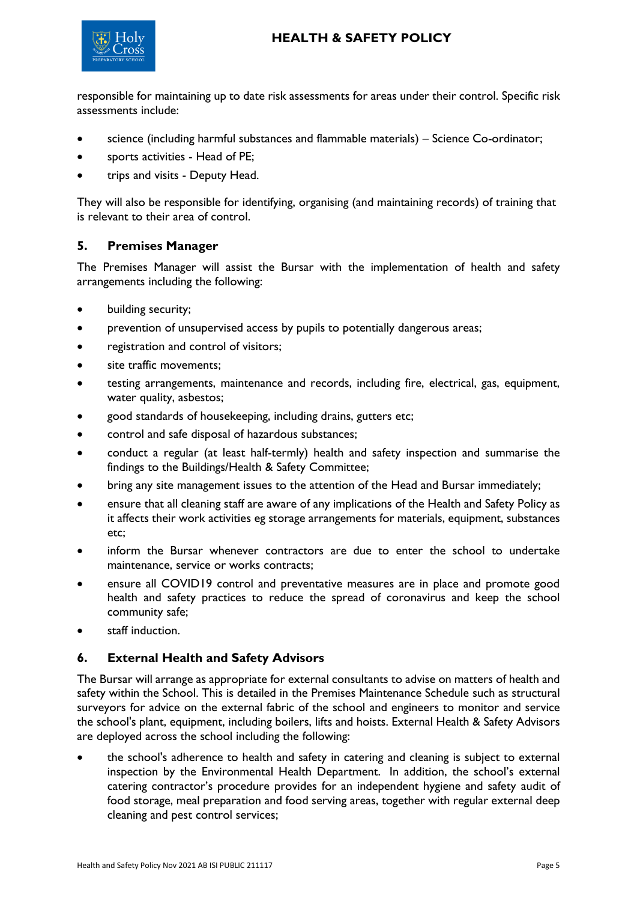

responsible for maintaining up to date risk assessments for areas under their control. Specific risk assessments include:

- science (including harmful substances and flammable materials) Science Co-ordinator;
- sports activities Head of PE;
- trips and visits Deputy Head.

They will also be responsible for identifying, organising (and maintaining records) of training that is relevant to their area of control.

## **5. Premises Manager**

The Premises Manager will assist the Bursar with the implementation of health and safety arrangements including the following:

- building security;
- prevention of unsupervised access by pupils to potentially dangerous areas;
- registration and control of visitors;
- site traffic movements:
- testing arrangements, maintenance and records, including fire, electrical, gas, equipment, water quality, asbestos;
- good standards of housekeeping, including drains, gutters etc;
- control and safe disposal of hazardous substances;
- conduct a regular (at least half-termly) health and safety inspection and summarise the findings to the Buildings/Health & Safety Committee;
- bring any site management issues to the attention of the Head and Bursar immediately;
- ensure that all cleaning staff are aware of any implications of the Health and Safety Policy as it affects their work activities eg storage arrangements for materials, equipment, substances etc;
- inform the Bursar whenever contractors are due to enter the school to undertake maintenance, service or works contracts;
- ensure all COVID19 control and preventative measures are in place and promote good health and safety practices to reduce the spread of coronavirus and keep the school community safe;
- staff induction.

## **6. External Health and Safety Advisors**

The Bursar will arrange as appropriate for external consultants to advise on matters of health and safety within the School. This is detailed in the Premises Maintenance Schedule such as structural surveyors for advice on the external fabric of the school and engineers to monitor and service the school's plant, equipment, including boilers, lifts and hoists. External Health & Safety Advisors are deployed across the school including the following:

the school's adherence to health and safety in catering and cleaning is subject to external inspection by the Environmental Health Department. In addition, the school's external catering contractor's procedure provides for an independent hygiene and safety audit of food storage, meal preparation and food serving areas, together with regular external deep cleaning and pest control services;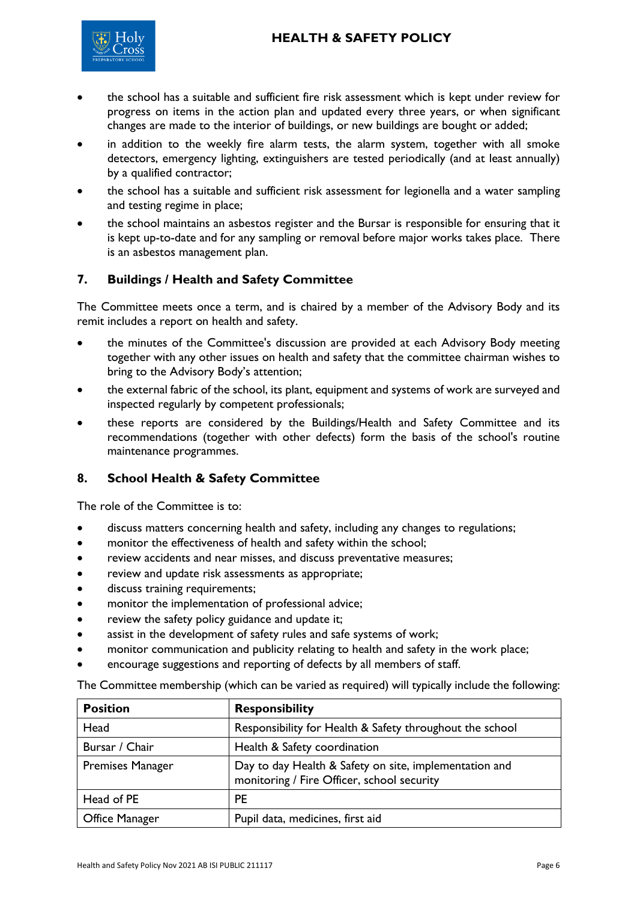

- the school has a suitable and sufficient fire risk assessment which is kept under review for progress on items in the action plan and updated every three years, or when significant changes are made to the interior of buildings, or new buildings are bought or added;
- in addition to the weekly fire alarm tests, the alarm system, together with all smoke detectors, emergency lighting, extinguishers are tested periodically (and at least annually) by a qualified contractor;
- the school has a suitable and sufficient risk assessment for legionella and a water sampling and testing regime in place;
- the school maintains an asbestos register and the Bursar is responsible for ensuring that it is kept up-to-date and for any sampling or removal before major works takes place. There is an asbestos management plan.

## **7. Buildings / Health and Safety Committee**

The Committee meets once a term, and is chaired by a member of the Advisory Body and its remit includes a report on health and safety.

- the minutes of the Committee's discussion are provided at each Advisory Body meeting together with any other issues on health and safety that the committee chairman wishes to bring to the Advisory Body's attention;
- the external fabric of the school, its plant, equipment and systems of work are surveyed and inspected regularly by competent professionals;
- these reports are considered by the Buildings/Health and Safety Committee and its recommendations (together with other defects) form the basis of the school's routine maintenance programmes.

## **8. School Health & Safety Committee**

The role of the Committee is to:

- discuss matters concerning health and safety, including any changes to regulations;
- monitor the effectiveness of health and safety within the school;
- review accidents and near misses, and discuss preventative measures;
- review and update risk assessments as appropriate;
- discuss training requirements;
- monitor the implementation of professional advice;
- review the safety policy guidance and update it;
- assist in the development of safety rules and safe systems of work;
- monitor communication and publicity relating to health and safety in the work place;
- encourage suggestions and reporting of defects by all members of staff.

The Committee membership (which can be varied as required) will typically include the following:

| <b>Position</b>         | <b>Responsibility</b>                                                                                |
|-------------------------|------------------------------------------------------------------------------------------------------|
| Head                    | Responsibility for Health & Safety throughout the school                                             |
| Bursar / Chair          | Health & Safety coordination                                                                         |
| <b>Premises Manager</b> | Day to day Health & Safety on site, implementation and<br>monitoring / Fire Officer, school security |
| Head of PE              | <b>PF</b>                                                                                            |
| Office Manager          | Pupil data, medicines, first aid                                                                     |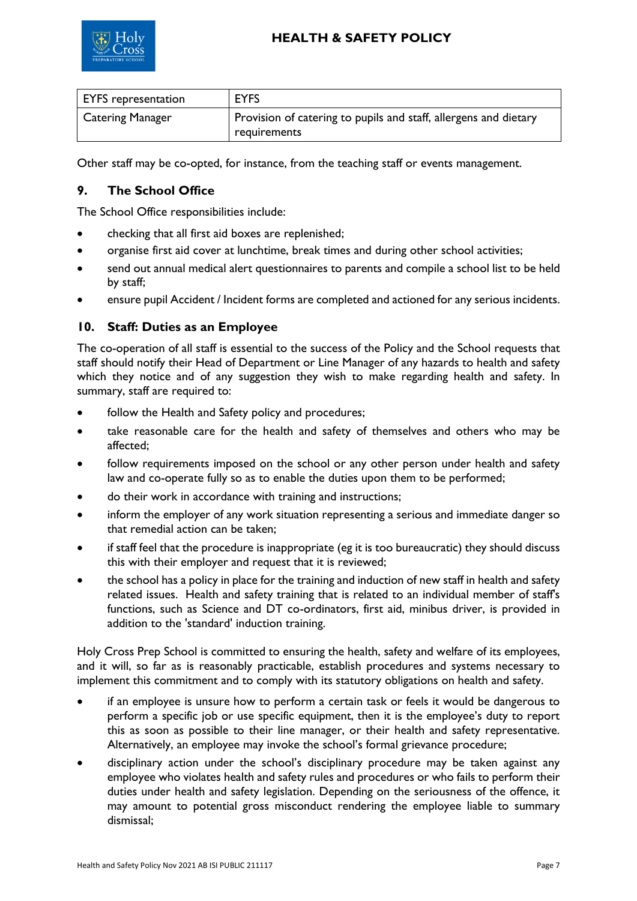



| EYFS representation     | <b>EYFS</b>                                                                      |
|-------------------------|----------------------------------------------------------------------------------|
| <b>Catering Manager</b> | Provision of catering to pupils and staff, allergens and dietary<br>requirements |

Other staff may be co-opted, for instance, from the teaching staff or events management.

## **9. The School Office**

The School Office responsibilities include:

- checking that all first aid boxes are replenished;
- organise first aid cover at lunchtime, break times and during other school activities;
- send out annual medical alert questionnaires to parents and compile a school list to be held by staff;
- ensure pupil Accident / Incident forms are completed and actioned for any serious incidents.

#### **10. Staff: Duties as an Employee**

The co-operation of all staff is essential to the success of the Policy and the School requests that staff should notify their Head of Department or Line Manager of any hazards to health and safety which they notice and of any suggestion they wish to make regarding health and safety. In summary, staff are required to:

- follow the Health and Safety policy and procedures;
- take reasonable care for the health and safety of themselves and others who may be affected;
- follow requirements imposed on the school or any other person under health and safety law and co-operate fully so as to enable the duties upon them to be performed;
- do their work in accordance with training and instructions;
- inform the employer of any work situation representing a serious and immediate danger so that remedial action can be taken;
- if staff feel that the procedure is inappropriate (eg it is too bureaucratic) they should discuss this with their employer and request that it is reviewed;
- the school has a policy in place for the training and induction of new staff in health and safety related issues. Health and safety training that is related to an individual member of staff's functions, such as Science and DT co-ordinators, first aid, minibus driver, is provided in addition to the 'standard' induction training.

Holy Cross Prep School is committed to ensuring the health, safety and welfare of its employees, and it will, so far as is reasonably practicable, establish procedures and systems necessary to implement this commitment and to comply with its statutory obligations on health and safety.

- if an employee is unsure how to perform a certain task or feels it would be dangerous to perform a specific job or use specific equipment, then it is the employee's duty to report this as soon as possible to their line manager, or their health and safety representative. Alternatively, an employee may invoke the school's formal grievance procedure;
- disciplinary action under the school's disciplinary procedure may be taken against any employee who violates health and safety rules and procedures or who fails to perform their duties under health and safety legislation. Depending on the seriousness of the offence, it may amount to potential gross misconduct rendering the employee liable to summary dismissal;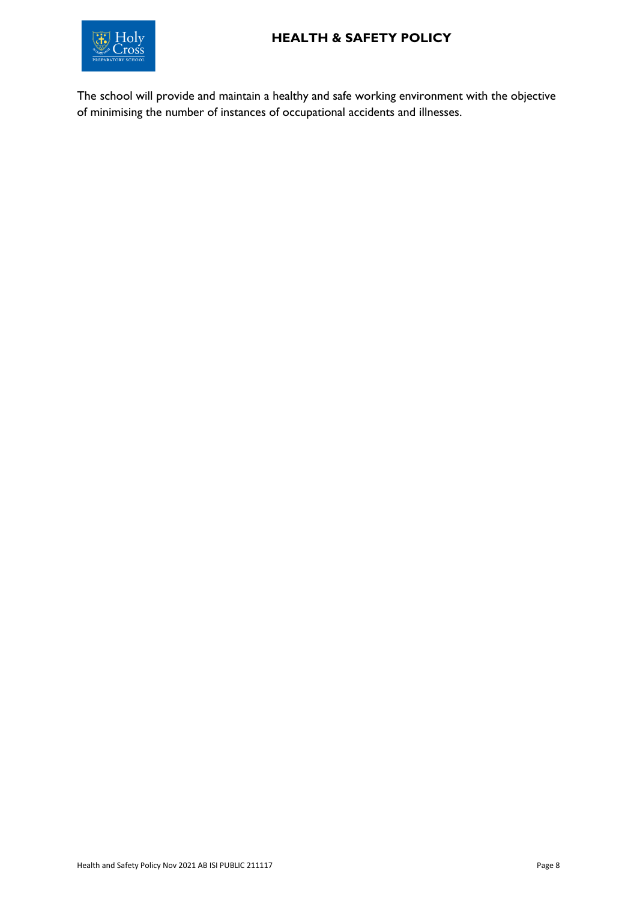

The school will provide and maintain a healthy and safe working environment with the objective of minimising the number of instances of occupational accidents and illnesses.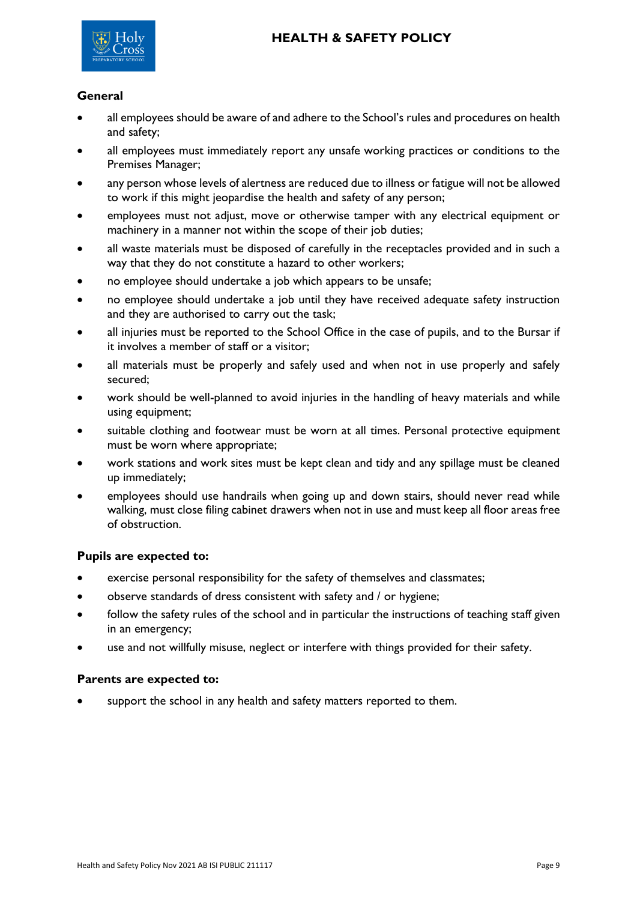

## **General**

- all employees should be aware of and adhere to the School's rules and procedures on health and safety;
- all employees must immediately report any unsafe working practices or conditions to the Premises Manager;
- any person whose levels of alertness are reduced due to illness or fatigue will not be allowed to work if this might jeopardise the health and safety of any person;
- employees must not adjust, move or otherwise tamper with any electrical equipment or machinery in a manner not within the scope of their job duties;
- all waste materials must be disposed of carefully in the receptacles provided and in such a way that they do not constitute a hazard to other workers;
- no employee should undertake a job which appears to be unsafe;
- no employee should undertake a job until they have received adequate safety instruction and they are authorised to carry out the task;
- all injuries must be reported to the School Office in the case of pupils, and to the Bursar if it involves a member of staff or a visitor;
- all materials must be properly and safely used and when not in use properly and safely secured;
- work should be well-planned to avoid injuries in the handling of heavy materials and while using equipment;
- suitable clothing and footwear must be worn at all times. Personal protective equipment must be worn where appropriate;
- work stations and work sites must be kept clean and tidy and any spillage must be cleaned up immediately;
- employees should use handrails when going up and down stairs, should never read while walking, must close filing cabinet drawers when not in use and must keep all floor areas free of obstruction.

#### **Pupils are expected to:**

- exercise personal responsibility for the safety of themselves and classmates;
- observe standards of dress consistent with safety and / or hygiene;
- follow the safety rules of the school and in particular the instructions of teaching staff given in an emergency;
- use and not willfully misuse, neglect or interfere with things provided for their safety.

#### **Parents are expected to:**

support the school in any health and safety matters reported to them.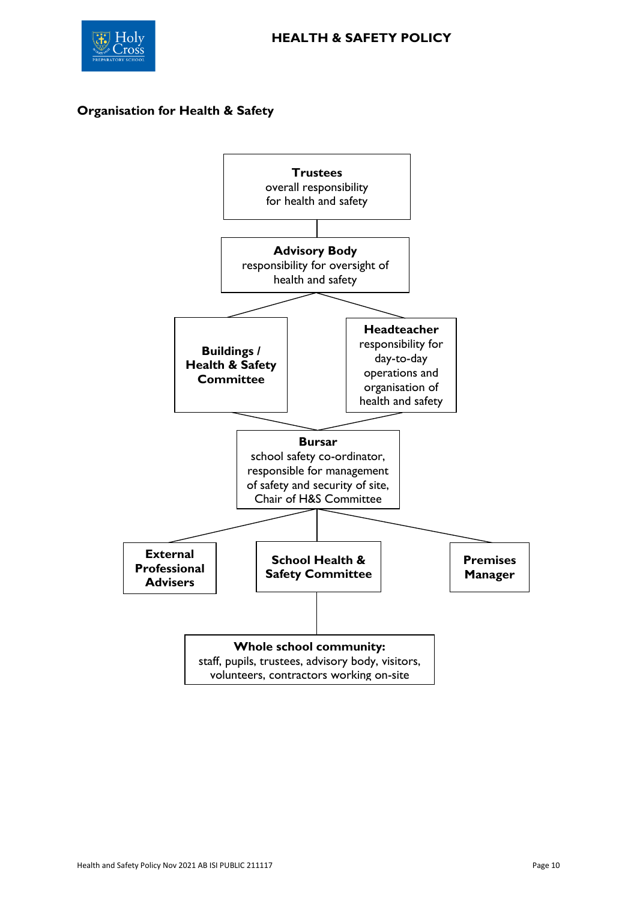

## **Organisation for Health & Safety**

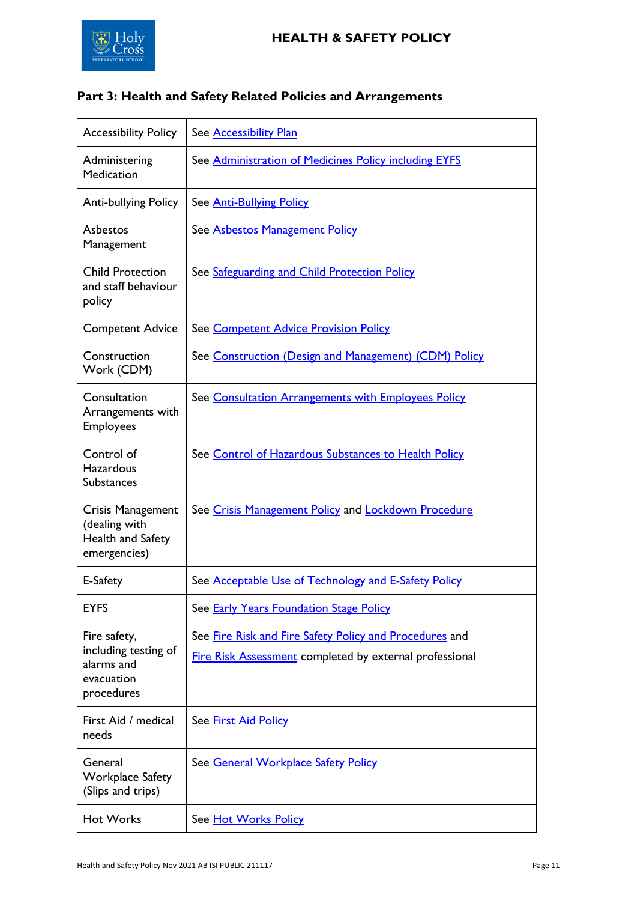

# **Part 3: Health and Safety Related Policies and Arrangements**

| <b>Accessibility Policy</b>                                                    | See <b>Accessibility Plan</b>                                                                                      |
|--------------------------------------------------------------------------------|--------------------------------------------------------------------------------------------------------------------|
| Administering<br>Medication                                                    | See Administration of Medicines Policy including EYFS                                                              |
| <b>Anti-bullying Policy</b>                                                    | See <b>Anti-Bullying Policy</b>                                                                                    |
| Asbestos<br>Management                                                         | See <b>Asbestos Management Policy</b>                                                                              |
| <b>Child Protection</b><br>and staff behaviour<br>policy                       | See Safeguarding and Child Protection Policy                                                                       |
| <b>Competent Advice</b>                                                        | See Competent Advice Provision Policy                                                                              |
| Construction<br>Work (CDM)                                                     | See Construction (Design and Management) (CDM) Policy                                                              |
| Consultation<br>Arrangements with<br><b>Employees</b>                          | See Consultation Arrangements with Employees Policy                                                                |
| Control of<br><b>Hazardous</b><br><b>Substances</b>                            | See Control of Hazardous Substances to Health Policy                                                               |
| <b>Crisis Management</b><br>(dealing with<br>Health and Safety<br>emergencies) | See Crisis Management Policy and Lockdown Procedure                                                                |
| E-Safety                                                                       | See Acceptable Use of Technology and E-Safety Policy                                                               |
| <b>EYFS</b>                                                                    | See <b>Early Years Foundation Stage Policy</b>                                                                     |
| Fire safety,<br>including testing of<br>alarms and<br>evacuation<br>procedures | See Fire Risk and Fire Safety Policy and Procedures and<br>Fire Risk Assessment completed by external professional |
| First Aid / medical<br>needs                                                   | See First Aid Policy                                                                                               |
| General<br><b>Workplace Safety</b><br>(Slips and trips)                        | See General Workplace Safety Policy                                                                                |
| <b>Hot Works</b>                                                               | See Hot Works Policy                                                                                               |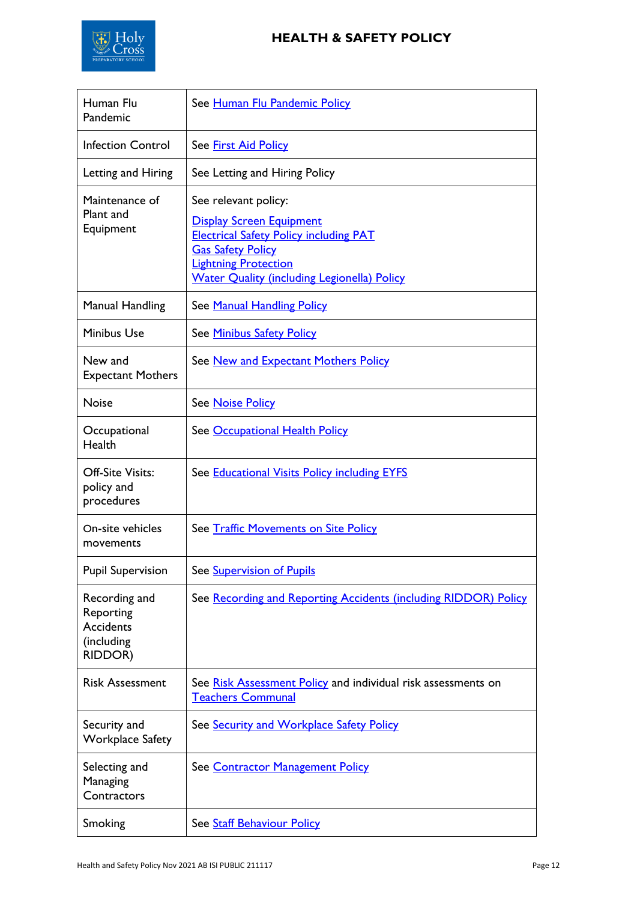

| Human Flu<br>Pandemic                                                          | See Human Flu Pandemic Policy                                                                                                                                                                                             |
|--------------------------------------------------------------------------------|---------------------------------------------------------------------------------------------------------------------------------------------------------------------------------------------------------------------------|
| <b>Infection Control</b>                                                       | See First Aid Policy                                                                                                                                                                                                      |
| Letting and Hiring                                                             | See Letting and Hiring Policy                                                                                                                                                                                             |
| Maintenance of<br>Plant and<br>Equipment                                       | See relevant policy:<br><b>Display Screen Equipment</b><br><b>Electrical Safety Policy including PAT</b><br><b>Gas Safety Policy</b><br><b>Lightning Protection</b><br><b>Water Quality (including Legionella) Policy</b> |
| <b>Manual Handling</b>                                                         | See Manual Handling Policy                                                                                                                                                                                                |
| <b>Minibus Use</b>                                                             | See Minibus Safety Policy                                                                                                                                                                                                 |
| New and<br><b>Expectant Mothers</b>                                            | See New and Expectant Mothers Policy                                                                                                                                                                                      |
| <b>Noise</b>                                                                   | See Noise Policy                                                                                                                                                                                                          |
| Occupational<br>Health                                                         | See Occupational Health Policy                                                                                                                                                                                            |
| <b>Off-Site Visits:</b><br>policy and<br>procedures                            | See <b>Educational Visits Policy including EYFS</b>                                                                                                                                                                       |
| On-site vehicles<br>movements                                                  | See Traffic Movements on Site Policy                                                                                                                                                                                      |
| <b>Pupil Supervision</b>                                                       | See Supervision of Pupils                                                                                                                                                                                                 |
| Recording and<br>Reporting<br><b>Accidents</b><br>(including<br><b>RIDDOR)</b> | See Recording and Reporting Accidents (including RIDDOR) Policy                                                                                                                                                           |
| <b>Risk Assessment</b>                                                         | See Risk Assessment Policy and individual risk assessments on<br><b>Teachers Communal</b>                                                                                                                                 |
| Security and<br><b>Workplace Safety</b>                                        | See Security and Workplace Safety Policy                                                                                                                                                                                  |
| Selecting and<br>Managing<br>Contractors                                       | See Contractor Management Policy                                                                                                                                                                                          |
| Smoking                                                                        | See Staff Behaviour Policy                                                                                                                                                                                                |